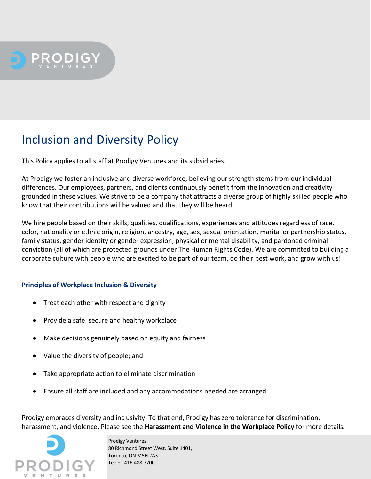

## Inclusion and Diversity Policy

This Policy applies to all staff at Prodigy Ventures and its subsidiaries.

At Prodigy we foster an inclusive and diverse workforce, believing our strength stems from our individual differences. Our employees, partners, and clients continuously benefit from the innovation and creativity grounded in these values. We strive to be a company that attracts a diverse group of highly skilled people who know that their contributions will be valued and that they will be heard.

We hire people based on their skills, qualities, qualifications, experiences and attitudes regardless of race, color, nationality or ethnic origin, religion, ancestry, age, sex, sexual orientation, marital or partnership status, family status, gender identity or gender expression, physical or mental disability, and pardoned criminal conviction (all of which are protected grounds under The Human Rights Code). We are committed to building a corporate culture with people who are excited to be part of our team, do their best work, and grow with us!

## **Principles of Workplace Inclusion & Diversity**

- Treat each other with respect and dignity
- Provide a safe, secure and healthy workplace
- Make decisions genuinely based on equity and fairness
- Value the diversity of people; and
- Take appropriate action to eliminate discrimination
- Ensure all staff are included and any accommodations needed are arranged

Prodigy embraces diversity and inclusivity. To that end, Prodigy has zero tolerance for discrimination, harassment, and violence. Please see the **Harassment and Violence in the Workplace Policy** for more details.



 Prodigy Ventures 80 Richmond Street West, Suite 1401, Toronto, ON M5H 2A3 Tel: +1 416.488.7700